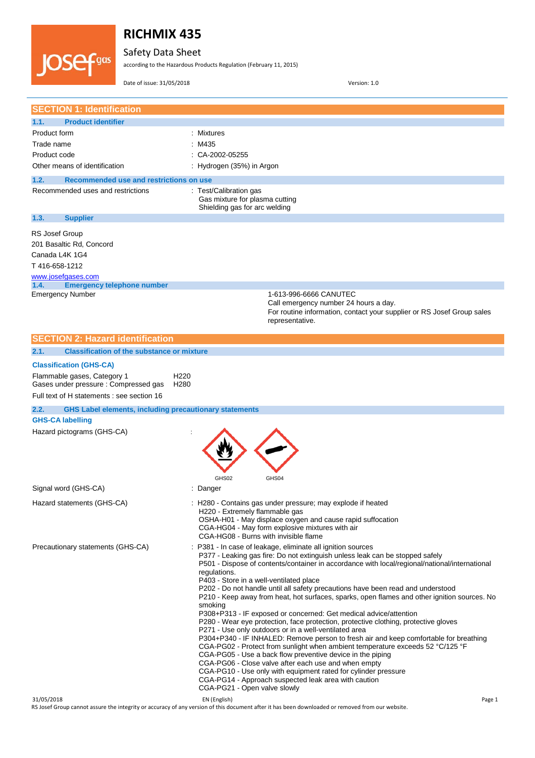Safety Data Sheet

according to the Hazardous Products Regulation (February 11, 2015)

Date of issue: 31/05/2018 Version: 1.0

**IOSefgas** 

| <b>SECTION 1: Identification</b>                                                                            |                                                                                                                                                                         |
|-------------------------------------------------------------------------------------------------------------|-------------------------------------------------------------------------------------------------------------------------------------------------------------------------|
| 1.1.<br><b>Product identifier</b>                                                                           |                                                                                                                                                                         |
| Product form                                                                                                | Mixtures                                                                                                                                                                |
| Trade name                                                                                                  | : M435                                                                                                                                                                  |
| Product code                                                                                                | $\therefore$ CA-2002-05255                                                                                                                                              |
| Other means of identification                                                                               | : Hydrogen (35%) in Argon                                                                                                                                               |
| Recommended use and restrictions on use<br>1.2.                                                             |                                                                                                                                                                         |
| Recommended uses and restrictions                                                                           | : Test/Calibration gas                                                                                                                                                  |
|                                                                                                             | Gas mixture for plasma cutting                                                                                                                                          |
|                                                                                                             | Shielding gas for arc welding                                                                                                                                           |
| 1.3.<br><b>Supplier</b>                                                                                     |                                                                                                                                                                         |
| RS Josef Group                                                                                              |                                                                                                                                                                         |
| 201 Basaltic Rd, Concord                                                                                    |                                                                                                                                                                         |
| Canada L4K 1G4                                                                                              |                                                                                                                                                                         |
| T416-658-1212                                                                                               |                                                                                                                                                                         |
| www.josefgases.com                                                                                          |                                                                                                                                                                         |
| <b>Emergency telephone number</b><br>1.4.                                                                   | 1-613-996-6666 CANUTEC                                                                                                                                                  |
| <b>Emergency Number</b>                                                                                     | Call emergency number 24 hours a day.                                                                                                                                   |
|                                                                                                             | For routine information, contact your supplier or RS Josef Group sales                                                                                                  |
|                                                                                                             | representative.                                                                                                                                                         |
| <b>SECTION 2: Hazard identification</b>                                                                     |                                                                                                                                                                         |
| <b>Classification of the substance or mixture</b><br>2.1.                                                   |                                                                                                                                                                         |
|                                                                                                             |                                                                                                                                                                         |
| <b>Classification (GHS-CA)</b>                                                                              |                                                                                                                                                                         |
| Flammable gases, Category 1<br>H <sub>220</sub><br>Gases under pressure: Compressed gas<br>H <sub>280</sub> |                                                                                                                                                                         |
| Full text of H statements : see section 16                                                                  |                                                                                                                                                                         |
| 2.2.<br><b>GHS Label elements, including precautionary statements</b>                                       |                                                                                                                                                                         |
| <b>GHS-CA labelling</b>                                                                                     |                                                                                                                                                                         |
| Hazard pictograms (GHS-CA)                                                                                  |                                                                                                                                                                         |
|                                                                                                             |                                                                                                                                                                         |
|                                                                                                             |                                                                                                                                                                         |
|                                                                                                             |                                                                                                                                                                         |
|                                                                                                             |                                                                                                                                                                         |
| Signal word (GHS-CA)                                                                                        | GHS02<br>GHS04<br>: Danger                                                                                                                                              |
|                                                                                                             |                                                                                                                                                                         |
| Hazard statements (GHS-CA)                                                                                  | H280 - Contains gas under pressure; may explode if heated<br>H220 - Extremely flammable gas                                                                             |
|                                                                                                             | OSHA-H01 - May displace oxygen and cause rapid suffocation                                                                                                              |
|                                                                                                             | CGA-HG04 - May form explosive mixtures with air                                                                                                                         |
|                                                                                                             |                                                                                                                                                                         |
|                                                                                                             | CGA-HG08 - Burns with invisible flame                                                                                                                                   |
| Precautionary statements (GHS-CA)                                                                           | : P381 - In case of leakage, eliminate all ignition sources                                                                                                             |
|                                                                                                             | P377 - Leaking gas fire: Do not extinguish unless leak can be stopped safely                                                                                            |
|                                                                                                             | P501 - Dispose of contents/container in accordance with local/regional/national/international<br>regulations.                                                           |
|                                                                                                             | P403 - Store in a well-ventilated place                                                                                                                                 |
|                                                                                                             | P202 - Do not handle until all safety precautions have been read and understood                                                                                         |
|                                                                                                             | P210 - Keep away from heat, hot surfaces, sparks, open flames and other ignition sources. No<br>smoking                                                                 |
|                                                                                                             | P308+P313 - IF exposed or concerned: Get medical advice/attention                                                                                                       |
|                                                                                                             | P280 - Wear eye protection, face protection, protective clothing, protective gloves                                                                                     |
|                                                                                                             | P271 - Use only outdoors or in a well-ventilated area                                                                                                                   |
|                                                                                                             | P304+P340 - IF INHALED: Remove person to fresh air and keep comfortable for breathing<br>CGA-PG02 - Protect from sunlight when ambient temperature exceeds 52 °C/125 °F |
|                                                                                                             | CGA-PG05 - Use a back flow preventive device in the piping                                                                                                              |
|                                                                                                             | CGA-PG06 - Close valve after each use and when empty                                                                                                                    |
|                                                                                                             | CGA-PG10 - Use only with equipment rated for cylinder pressure<br>CGA-PG14 - Approach suspected leak area with caution<br>CGA-PG21 - Open valve slowly                  |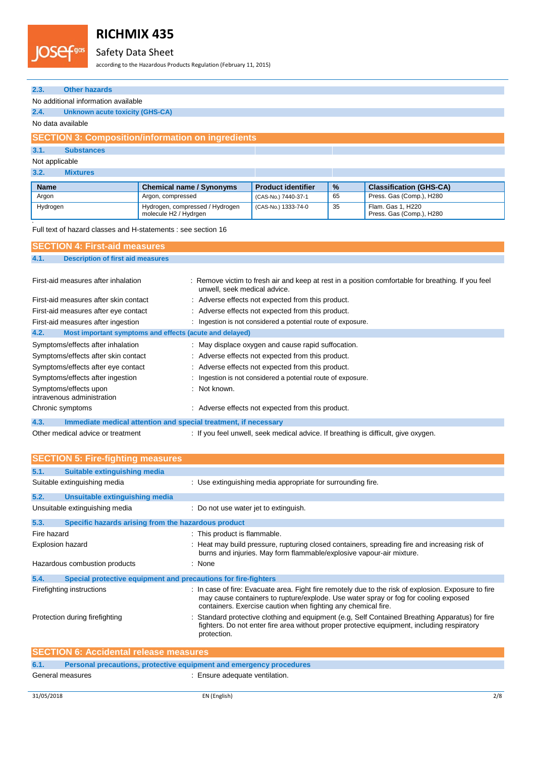#### JOSef<sup>gas</sup> Safety Data Sheet

according to the Hazardous Products Regulation (February 11, 2015)

| 2.3.<br><b>Other hazards</b>                                                                                                                                            |                                                          |                                                                                    |    |                                               |  |
|-------------------------------------------------------------------------------------------------------------------------------------------------------------------------|----------------------------------------------------------|------------------------------------------------------------------------------------|----|-----------------------------------------------|--|
| No additional information available                                                                                                                                     |                                                          |                                                                                    |    |                                               |  |
| 2.4.<br><b>Unknown acute toxicity (GHS-CA)</b>                                                                                                                          |                                                          |                                                                                    |    |                                               |  |
| No data available                                                                                                                                                       |                                                          |                                                                                    |    |                                               |  |
|                                                                                                                                                                         | <b>SECTION 3: Composition/information on ingredients</b> |                                                                                    |    |                                               |  |
| <b>Substances</b><br>3.1.                                                                                                                                               |                                                          |                                                                                    |    |                                               |  |
| Not applicable                                                                                                                                                          |                                                          |                                                                                    |    |                                               |  |
| 3.2.<br><b>Mixtures</b>                                                                                                                                                 |                                                          |                                                                                    |    |                                               |  |
| <b>Name</b>                                                                                                                                                             | <b>Chemical name / Synonyms</b>                          | <b>Product identifier</b>                                                          | %  | <b>Classification (GHS-CA)</b>                |  |
| Argon                                                                                                                                                                   | Argon, compressed                                        | (CAS-No.) 7440-37-1                                                                | 65 | Press. Gas (Comp.), H280                      |  |
| Hydrogen                                                                                                                                                                | Hydrogen, compressed / Hydrogen<br>molecule H2 / Hydrgen | (CAS-No.) 1333-74-0                                                                | 35 | Flam. Gas 1, H220<br>Press. Gas (Comp.), H280 |  |
| Full text of hazard classes and H-statements : see section 16                                                                                                           |                                                          |                                                                                    |    |                                               |  |
|                                                                                                                                                                         |                                                          |                                                                                    |    |                                               |  |
| <b>SECTION 4: First-aid measures</b>                                                                                                                                    |                                                          |                                                                                    |    |                                               |  |
| 4.1.<br><b>Description of first aid measures</b>                                                                                                                        |                                                          |                                                                                    |    |                                               |  |
| First-aid measures after inhalation<br>Remove victim to fresh air and keep at rest in a position comfortable for breathing. If you feel<br>unwell, seek medical advice. |                                                          |                                                                                    |    |                                               |  |
| First-aid measures after skin contact                                                                                                                                   |                                                          | : Adverse effects not expected from this product.                                  |    |                                               |  |
| First-aid measures after eye contact                                                                                                                                    |                                                          | Adverse effects not expected from this product.                                    |    |                                               |  |
| First-aid measures after ingestion                                                                                                                                      |                                                          | : Ingestion is not considered a potential route of exposure.                       |    |                                               |  |
| 4.2.                                                                                                                                                                    | Most important symptoms and effects (acute and delayed)  |                                                                                    |    |                                               |  |
| Symptoms/effects after inhalation                                                                                                                                       |                                                          | : May displace oxygen and cause rapid suffocation.                                 |    |                                               |  |
| Symptoms/effects after skin contact                                                                                                                                     |                                                          | : Adverse effects not expected from this product.                                  |    |                                               |  |
| Symptoms/effects after eye contact                                                                                                                                      |                                                          | Adverse effects not expected from this product.                                    |    |                                               |  |
| Symptoms/effects after ingestion                                                                                                                                        |                                                          | Ingestion is not considered a potential route of exposure.                         |    |                                               |  |
| Symptoms/effects upon<br>intravenous administration                                                                                                                     | Not known.                                               |                                                                                    |    |                                               |  |
| Chronic symptoms                                                                                                                                                        |                                                          | : Adverse effects not expected from this product.                                  |    |                                               |  |
| 4.3.<br>Immediate medical attention and special treatment, if necessary                                                                                                 |                                                          |                                                                                    |    |                                               |  |
| Other medical advice or treatment                                                                                                                                       |                                                          | : If you feel unwell, seek medical advice. If breathing is difficult, give oxygen. |    |                                               |  |

|                  | <b>SECTION 5: Fire-fighting measures</b>                            |                                                                                                                                                                                                                                                              |
|------------------|---------------------------------------------------------------------|--------------------------------------------------------------------------------------------------------------------------------------------------------------------------------------------------------------------------------------------------------------|
| 5.1.             | Suitable extinguishing media                                        |                                                                                                                                                                                                                                                              |
|                  | Suitable extinguishing media                                        | : Use extinguishing media appropriate for surrounding fire.                                                                                                                                                                                                  |
| 5.2.             | Unsuitable extinguishing media                                      |                                                                                                                                                                                                                                                              |
|                  | Unsuitable extinguishing media                                      | : Do not use water jet to extinguish.                                                                                                                                                                                                                        |
| 5.3.             | Specific hazards arising from the hazardous product                 |                                                                                                                                                                                                                                                              |
| Fire hazard      |                                                                     | : This product is flammable.                                                                                                                                                                                                                                 |
| Explosion hazard |                                                                     | : Heat may build pressure, rupturing closed containers, spreading fire and increasing risk of<br>burns and injuries. May form flammable/explosive vapour-air mixture.                                                                                        |
|                  | Hazardous combustion products                                       | : None                                                                                                                                                                                                                                                       |
| 5.4.             | Special protective equipment and precautions for fire-fighters      |                                                                                                                                                                                                                                                              |
|                  | Firefighting instructions                                           | : In case of fire: Evacuate area. Fight fire remotely due to the risk of explosion. Exposure to fire<br>may cause containers to rupture/explode. Use water spray or fog for cooling exposed<br>containers. Exercise caution when fighting any chemical fire. |
|                  | Protection during firefighting                                      | Standard protective clothing and equipment (e.g. Self Contained Breathing Apparatus) for fire                                                                                                                                                                |
|                  |                                                                     | fighters. Do not enter fire area without proper protective equipment, including respiratory<br>protection.                                                                                                                                                   |
|                  | <b>SECTION 6: Accidental release measures</b>                       |                                                                                                                                                                                                                                                              |
| 6.1.             | Personal precautions, protective equipment and emergency procedures |                                                                                                                                                                                                                                                              |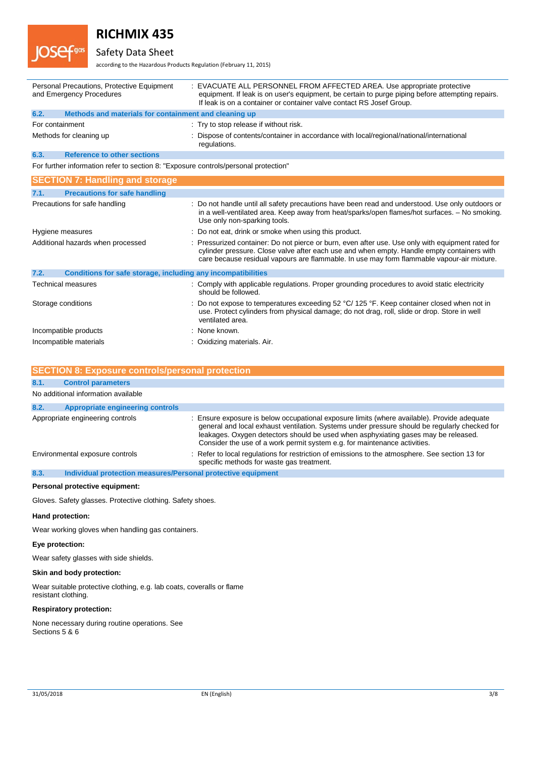

# Safety Data Sheet

according to the Hazardous Products Regulation (February 11, 2015)

|      | Personal Precautions, Protective Equipment<br>and Emergency Procedures              | : EVACUATE ALL PERSONNEL FROM AFFECTED AREA. Use appropriate protective<br>equipment. If leak is on user's equipment, be certain to purge piping before attempting repairs.<br>If leak is on a container or container valve contact RS Josef Group.                                           |
|------|-------------------------------------------------------------------------------------|-----------------------------------------------------------------------------------------------------------------------------------------------------------------------------------------------------------------------------------------------------------------------------------------------|
| 6.2. | Methods and materials for containment and cleaning up                               |                                                                                                                                                                                                                                                                                               |
|      | For containment                                                                     | : Try to stop release if without risk.                                                                                                                                                                                                                                                        |
|      | Methods for cleaning up                                                             | : Dispose of contents/container in accordance with local/regional/national/international<br>regulations.                                                                                                                                                                                      |
| 6.3. | <b>Reference to other sections</b>                                                  |                                                                                                                                                                                                                                                                                               |
|      | For further information refer to section 8: "Exposure controls/personal protection" |                                                                                                                                                                                                                                                                                               |
|      | <b>SECTION 7: Handling and storage</b>                                              |                                                                                                                                                                                                                                                                                               |
| 7.1. | <b>Precautions for safe handling</b>                                                |                                                                                                                                                                                                                                                                                               |
|      | Precautions for safe handling                                                       | : Do not handle until all safety precautions have been read and understood. Use only outdoors or<br>in a well-ventilated area. Keep away from heat/sparks/open flames/hot surfaces. - No smoking.<br>Use only non-sparking tools.                                                             |
|      | Hygiene measures                                                                    | : Do not eat, drink or smoke when using this product.                                                                                                                                                                                                                                         |
|      | Additional hazards when processed                                                   | : Pressurized container: Do not pierce or burn, even after use. Use only with equipment rated for<br>cylinder pressure. Close valve after each use and when empty. Handle empty containers with<br>care because residual vapours are flammable. In use may form flammable vapour-air mixture. |
| 7.2. | Conditions for safe storage, including any incompatibilities                        |                                                                                                                                                                                                                                                                                               |
|      | <b>Technical measures</b>                                                           | : Comply with applicable regulations. Proper grounding procedures to avoid static electricity<br>should be followed.                                                                                                                                                                          |
|      | Storage conditions                                                                  | : Do not expose to temperatures exceeding 52 $^{\circ}$ C/ 125 $^{\circ}$ F. Keep container closed when not in<br>use. Protect cylinders from physical damage; do not drag, roll, slide or drop. Store in well<br>ventilated area.                                                            |
|      | Incompatible products                                                               | : None known.                                                                                                                                                                                                                                                                                 |
|      | Incompatible materials                                                              | : Oxidizing materials. Air.                                                                                                                                                                                                                                                                   |

|      | <b>SECTION 8: Exposure controls/personal protection</b>      |                                                                                                                                                                                                                                                                                                                                                                 |
|------|--------------------------------------------------------------|-----------------------------------------------------------------------------------------------------------------------------------------------------------------------------------------------------------------------------------------------------------------------------------------------------------------------------------------------------------------|
| 8.1. | <b>Control parameters</b>                                    |                                                                                                                                                                                                                                                                                                                                                                 |
|      | No additional information available                          |                                                                                                                                                                                                                                                                                                                                                                 |
| 8.2. | <b>Appropriate engineering controls</b>                      |                                                                                                                                                                                                                                                                                                                                                                 |
|      | Appropriate engineering controls                             | : Ensure exposure is below occupational exposure limits (where available). Provide adequate<br>general and local exhaust ventilation. Systems under pressure should be regularly checked for<br>leakages. Oxygen detectors should be used when asphyxiating gases may be released.<br>Consider the use of a work permit system e.g. for maintenance activities. |
|      | Environmental exposure controls                              | : Refer to local regulations for restriction of emissions to the atmosphere. See section 13 for<br>specific methods for waste gas treatment.                                                                                                                                                                                                                    |
| 8.3. | Individual protection measures/Personal protective equipment |                                                                                                                                                                                                                                                                                                                                                                 |

### **Personal protective equipment:**

Gloves. Safety glasses. Protective clothing. Safety shoes.

### **Hand protection:**

Wear working gloves when handling gas containers.

### **Eye protection:**

Wear safety glasses with side shields.

#### **Skin and body protection:**

Wear suitable protective clothing, e.g. lab coats, coveralls or flame resistant clothing.

### **Respiratory protection:**

None necessary during routine operations. See Sections 5 & 6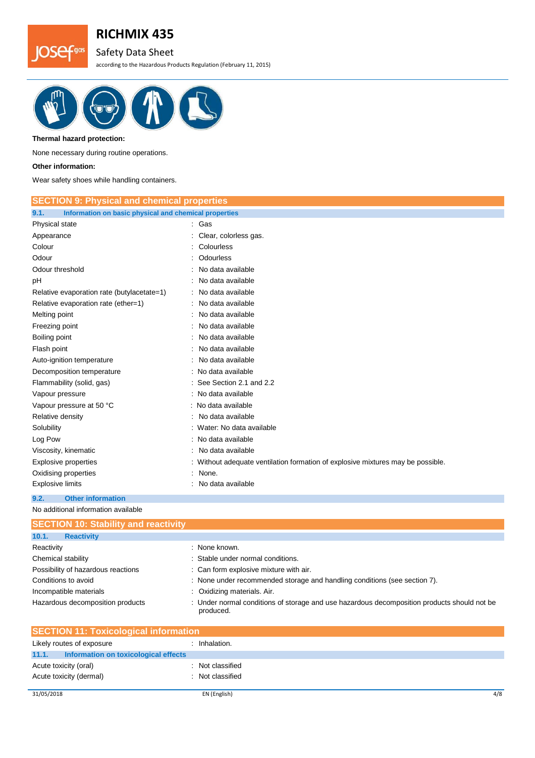# Safety Data Sheet

according to the Hazardous Products Regulation (February 11, 2015)



#### **Thermal hazard protection:**

None necessary during routine operations.

### **Other information:**

**JOSef<sup>gas</sup>** 

Wear safety shoes while handling containers.

| <b>SECTION 9: Physical and chemical properties</b>            |                                                                               |
|---------------------------------------------------------------|-------------------------------------------------------------------------------|
| Information on basic physical and chemical properties<br>9.1. |                                                                               |
| Physical state                                                | : Gas                                                                         |
| Appearance                                                    | Clear, colorless gas.                                                         |
| Colour                                                        | Colourless                                                                    |
| Odour                                                         | Odourless                                                                     |
| Odour threshold                                               | No data available                                                             |
| рH                                                            | No data available                                                             |
| Relative evaporation rate (butylacetate=1)                    | No data available                                                             |
| Relative evaporation rate (ether=1)                           | No data available                                                             |
| Melting point                                                 | No data available                                                             |
| Freezing point                                                | No data available                                                             |
| Boiling point                                                 | No data available                                                             |
| Flash point                                                   | No data available                                                             |
| Auto-ignition temperature                                     | No data available                                                             |
| Decomposition temperature                                     | No data available                                                             |
| Flammability (solid, gas)                                     | See Section 2.1 and 2.2                                                       |
| Vapour pressure                                               | No data available                                                             |
| Vapour pressure at 50 °C                                      | : No data available                                                           |
| Relative density                                              | No data available                                                             |
| Solubility                                                    | Water: No data available                                                      |
| Log Pow                                                       | No data available                                                             |
| Viscosity, kinematic                                          | No data available                                                             |
| Explosive properties                                          | Without adequate ventilation formation of explosive mixtures may be possible. |
| Oxidising properties                                          | None.                                                                         |
| <b>Explosive limits</b>                                       | No data available                                                             |

## **9.2. Other information**

No additional information available

| <b>SECTION 10: Stability and reactivity</b> |                                                                                                          |
|---------------------------------------------|----------------------------------------------------------------------------------------------------------|
| 10.1.<br><b>Reactivity</b>                  |                                                                                                          |
| Reactivity                                  | : None known.                                                                                            |
| Chemical stability                          | : Stable under normal conditions.                                                                        |
| Possibility of hazardous reactions          | : Can form explosive mixture with air.                                                                   |
| Conditions to avoid                         | : None under recommended storage and handling conditions (see section 7).                                |
| Incompatible materials                      | : Oxidizing materials. Air.                                                                              |
| Hazardous decomposition products            | : Under normal conditions of storage and use hazardous decomposition products should not be<br>produced. |

| <b>SECTION 11: Toxicological information</b>  |                |  |
|-----------------------------------------------|----------------|--|
| Likely routes of exposure                     | Inhalation.    |  |
| 11.1.<br>Information on toxicological effects |                |  |
| Acute toxicity (oral)                         | Not classified |  |
| Acute toxicity (dermal)                       | Not classified |  |
|                                               |                |  |
| 31/05/2018                                    | EN (English)   |  |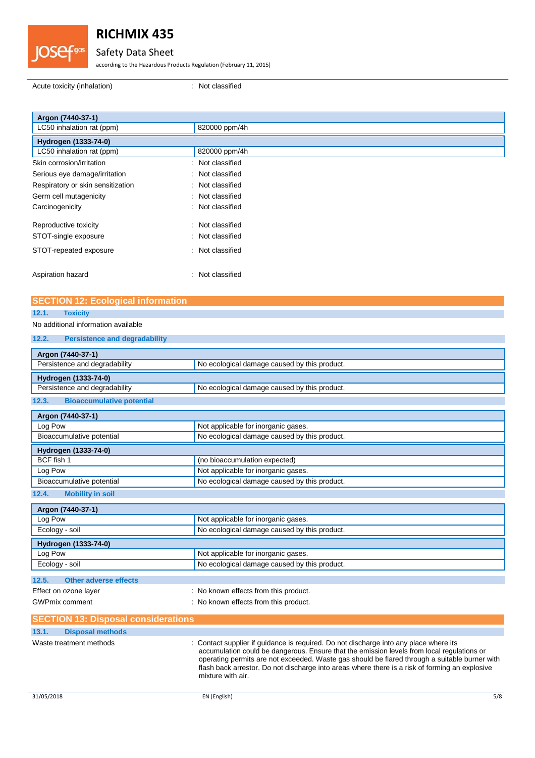

## Safety Data Sheet

according to the Hazardous Products Regulation (February 11, 2015)

Acute toxicity (inhalation) : Not classified

| Argon (7440-37-1)                 |                      |
|-----------------------------------|----------------------|
| LC50 inhalation rat (ppm)         | 820000 ppm/4h        |
| Hydrogen (1333-74-0)              |                      |
| LC50 inhalation rat (ppm)         | 820000 ppm/4h        |
| Skin corrosion/irritation         | : Not classified     |
| Serious eye damage/irritation     | : Not classified     |
| Respiratory or skin sensitization | : Not classified     |
| Germ cell mutagenicity            | Not classified<br>÷. |
| Carcinogenicity                   | : Not classified     |
| Reproductive toxicity             | Not classified<br>÷  |
| STOT-single exposure              | : Not classified     |
| STOT-repeated exposure            | : Not classified     |
| Aspiration hazard                 | : Not classified     |

## **SECTION 12: Ecological information**

### **12.1. Toxicity**

## No additional information available

| <b>Persistence and degradability</b><br>12.2. |
|-----------------------------------------------|
|-----------------------------------------------|

| Argon (7440-37-1)                          |                                                                                     |
|--------------------------------------------|-------------------------------------------------------------------------------------|
| Persistence and degradability              | No ecological damage caused by this product.                                        |
| Hydrogen (1333-74-0)                       |                                                                                     |
| Persistence and degradability              | No ecological damage caused by this product.                                        |
| <b>Bioaccumulative potential</b><br>12.3.  |                                                                                     |
| Argon (7440-37-1)                          |                                                                                     |
| Log Pow                                    | Not applicable for inorganic gases.                                                 |
| Bioaccumulative potential                  | No ecological damage caused by this product.                                        |
| Hydrogen (1333-74-0)                       |                                                                                     |
| BCF fish 1                                 | (no bioaccumulation expected)                                                       |
| Log Pow                                    | Not applicable for inorganic gases.                                                 |
| Bioaccumulative potential                  | No ecological damage caused by this product.                                        |
| 12.4.<br><b>Mobility in soil</b>           |                                                                                     |
| Argon (7440-37-1)                          |                                                                                     |
| Log Pow                                    | Not applicable for inorganic gases.                                                 |
| Ecology - soil                             | No ecological damage caused by this product.                                        |
| Hydrogen (1333-74-0)                       |                                                                                     |
| Log Pow                                    | Not applicable for inorganic gases.                                                 |
| Ecology - soil                             | No ecological damage caused by this product.                                        |
| 12.5.<br><b>Other adverse effects</b>      |                                                                                     |
| Effect on ozone layer                      | : No known effects from this product.                                               |
| <b>GWPmix comment</b>                      | : No known effects from this product.                                               |
| <b>SECTION 13: Disposal considerations</b> |                                                                                     |
| 13.1.<br><b>Disposal methods</b>           |                                                                                     |
| Waste treatment methods                    | Contact supplier if quidance is required. Do not discharge into any place where its |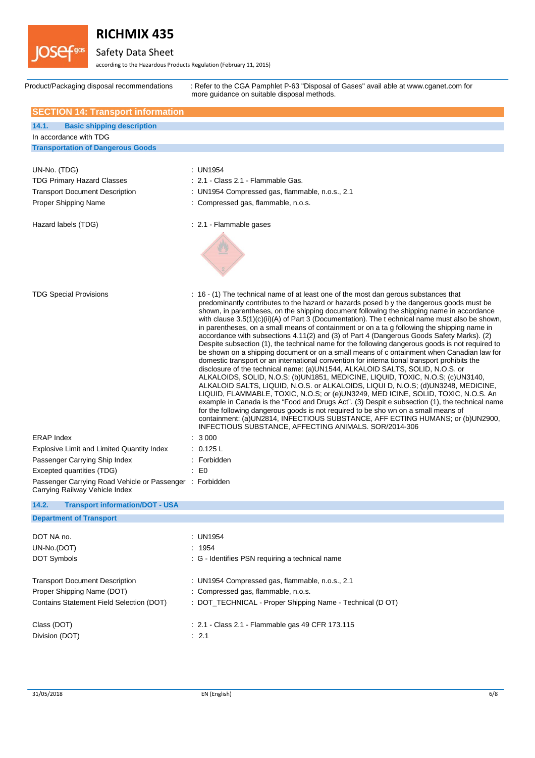

Safety Data Sheet

according to the Hazardous Products Regulation (February 11, 2015)

| Product/Packaging disposal recommendations                                                                                               | : Refer to the CGA Pamphlet P-63 "Disposal of Gases" avail able at www.cqanet.com for<br>more quidance on suitable disposal methods.                                                                                                                                                                                                                                                                                                                                                                                                                                                                                                                                                                                                                                                                                                                                                                                                                                                                                                                                                                                                                                                                                                                                                                                                                                                                                                                                                                                                                                                                 |
|------------------------------------------------------------------------------------------------------------------------------------------|------------------------------------------------------------------------------------------------------------------------------------------------------------------------------------------------------------------------------------------------------------------------------------------------------------------------------------------------------------------------------------------------------------------------------------------------------------------------------------------------------------------------------------------------------------------------------------------------------------------------------------------------------------------------------------------------------------------------------------------------------------------------------------------------------------------------------------------------------------------------------------------------------------------------------------------------------------------------------------------------------------------------------------------------------------------------------------------------------------------------------------------------------------------------------------------------------------------------------------------------------------------------------------------------------------------------------------------------------------------------------------------------------------------------------------------------------------------------------------------------------------------------------------------------------------------------------------------------------|
| <b>SECTION 14: Transport information</b>                                                                                                 |                                                                                                                                                                                                                                                                                                                                                                                                                                                                                                                                                                                                                                                                                                                                                                                                                                                                                                                                                                                                                                                                                                                                                                                                                                                                                                                                                                                                                                                                                                                                                                                                      |
| 14.1.<br><b>Basic shipping description</b>                                                                                               |                                                                                                                                                                                                                                                                                                                                                                                                                                                                                                                                                                                                                                                                                                                                                                                                                                                                                                                                                                                                                                                                                                                                                                                                                                                                                                                                                                                                                                                                                                                                                                                                      |
| In accordance with TDG                                                                                                                   |                                                                                                                                                                                                                                                                                                                                                                                                                                                                                                                                                                                                                                                                                                                                                                                                                                                                                                                                                                                                                                                                                                                                                                                                                                                                                                                                                                                                                                                                                                                                                                                                      |
| <b>Transportation of Dangerous Goods</b>                                                                                                 |                                                                                                                                                                                                                                                                                                                                                                                                                                                                                                                                                                                                                                                                                                                                                                                                                                                                                                                                                                                                                                                                                                                                                                                                                                                                                                                                                                                                                                                                                                                                                                                                      |
|                                                                                                                                          |                                                                                                                                                                                                                                                                                                                                                                                                                                                                                                                                                                                                                                                                                                                                                                                                                                                                                                                                                                                                                                                                                                                                                                                                                                                                                                                                                                                                                                                                                                                                                                                                      |
| UN-No. (TDG)                                                                                                                             | : UN1954                                                                                                                                                                                                                                                                                                                                                                                                                                                                                                                                                                                                                                                                                                                                                                                                                                                                                                                                                                                                                                                                                                                                                                                                                                                                                                                                                                                                                                                                                                                                                                                             |
| <b>TDG Primary Hazard Classes</b>                                                                                                        | : 2.1 - Class 2.1 - Flammable Gas.                                                                                                                                                                                                                                                                                                                                                                                                                                                                                                                                                                                                                                                                                                                                                                                                                                                                                                                                                                                                                                                                                                                                                                                                                                                                                                                                                                                                                                                                                                                                                                   |
| <b>Transport Document Description</b>                                                                                                    | : UN1954 Compressed gas, flammable, n.o.s., 2.1                                                                                                                                                                                                                                                                                                                                                                                                                                                                                                                                                                                                                                                                                                                                                                                                                                                                                                                                                                                                                                                                                                                                                                                                                                                                                                                                                                                                                                                                                                                                                      |
| Proper Shipping Name                                                                                                                     | : Compressed gas, flammable, n.o.s.                                                                                                                                                                                                                                                                                                                                                                                                                                                                                                                                                                                                                                                                                                                                                                                                                                                                                                                                                                                                                                                                                                                                                                                                                                                                                                                                                                                                                                                                                                                                                                  |
| Hazard labels (TDG)                                                                                                                      | : 2.1 - Flammable gases                                                                                                                                                                                                                                                                                                                                                                                                                                                                                                                                                                                                                                                                                                                                                                                                                                                                                                                                                                                                                                                                                                                                                                                                                                                                                                                                                                                                                                                                                                                                                                              |
|                                                                                                                                          |                                                                                                                                                                                                                                                                                                                                                                                                                                                                                                                                                                                                                                                                                                                                                                                                                                                                                                                                                                                                                                                                                                                                                                                                                                                                                                                                                                                                                                                                                                                                                                                                      |
| <b>TDG Special Provisions</b><br><b>ERAP Index</b><br><b>Explosive Limit and Limited Quantity Index</b><br>Passenger Carrying Ship Index | : 16 - (1) The technical name of at least one of the most dan gerous substances that<br>predominantly contributes to the hazard or hazards posed b y the dangerous goods must be<br>shown, in parentheses, on the shipping document following the shipping name in accordance<br>with clause $3.5(1)(c)(ii)(A)$ of Part 3 (Documentation). The t echnical name must also be shown,<br>in parentheses, on a small means of containment or on a ta g following the shipping name in<br>accordance with subsections 4.11(2) and (3) of Part 4 (Dangerous Goods Safety Marks). (2)<br>Despite subsection (1), the technical name for the following dangerous goods is not required to<br>be shown on a shipping document or on a small means of c ontainment when Canadian law for<br>domestic transport or an international convention for interna tional transport prohibits the<br>disclosure of the technical name: (a)UN1544, ALKALOID SALTS, SOLID, N.O.S. or<br>ALKALOIDS, SOLID, N.O.S; (b)UN1851, MEDICINE, LIQUID, TOXIC, N.O.S; (c)UN3140,<br>ALKALOID SALTS, LIQUID, N.O.S. or ALKALOIDS, LIQUI D, N.O.S; (d)UN3248, MEDICINE,<br>LIQUID, FLAMMABLE, TOXIC, N.O.S; or (e)UN3249, MED ICINE, SOLID, TOXIC, N.O.S. An<br>example in Canada is the "Food and Drugs Act". (3) Despit e subsection (1), the technical name<br>for the following dangerous goods is not required to be sho wn on a small means of<br>containment: (a)UN2814, INFECTIOUS SUBSTANCE, AFF ECTING HUMANS; or (b)UN2900,<br>INFECTIOUS SUBSTANCE, AFFECTING ANIMALS. SOR/2014-306<br>: 3000<br>: 0.125 L<br>: Forbidden |
| Excepted quantities (TDG)<br>Passenger Carrying Road Vehicle or Passenger : Forbidden                                                    | $\mathbf{E}$ = $\mathbf{E}$                                                                                                                                                                                                                                                                                                                                                                                                                                                                                                                                                                                                                                                                                                                                                                                                                                                                                                                                                                                                                                                                                                                                                                                                                                                                                                                                                                                                                                                                                                                                                                          |
| Carrying Railway Vehicle Index                                                                                                           |                                                                                                                                                                                                                                                                                                                                                                                                                                                                                                                                                                                                                                                                                                                                                                                                                                                                                                                                                                                                                                                                                                                                                                                                                                                                                                                                                                                                                                                                                                                                                                                                      |
| 14.2.<br><b>Transport information/DOT - USA</b>                                                                                          |                                                                                                                                                                                                                                                                                                                                                                                                                                                                                                                                                                                                                                                                                                                                                                                                                                                                                                                                                                                                                                                                                                                                                                                                                                                                                                                                                                                                                                                                                                                                                                                                      |
| <b>Department of Transport</b>                                                                                                           |                                                                                                                                                                                                                                                                                                                                                                                                                                                                                                                                                                                                                                                                                                                                                                                                                                                                                                                                                                                                                                                                                                                                                                                                                                                                                                                                                                                                                                                                                                                                                                                                      |
| DOT NA no.                                                                                                                               | : UN1954                                                                                                                                                                                                                                                                                                                                                                                                                                                                                                                                                                                                                                                                                                                                                                                                                                                                                                                                                                                                                                                                                                                                                                                                                                                                                                                                                                                                                                                                                                                                                                                             |
| UN-No.(DOT)                                                                                                                              | : 1954                                                                                                                                                                                                                                                                                                                                                                                                                                                                                                                                                                                                                                                                                                                                                                                                                                                                                                                                                                                                                                                                                                                                                                                                                                                                                                                                                                                                                                                                                                                                                                                               |
| DOT Symbols                                                                                                                              | : G - Identifies PSN requiring a technical name                                                                                                                                                                                                                                                                                                                                                                                                                                                                                                                                                                                                                                                                                                                                                                                                                                                                                                                                                                                                                                                                                                                                                                                                                                                                                                                                                                                                                                                                                                                                                      |
| <b>Transport Document Description</b><br>Proper Shipping Name (DOT)<br>Contains Statement Field Selection (DOT)                          | : UN1954 Compressed gas, flammable, n.o.s., 2.1<br>: Compressed gas, flammable, n.o.s.<br>: DOT_TECHNICAL - Proper Shipping Name - Technical (D OT)                                                                                                                                                                                                                                                                                                                                                                                                                                                                                                                                                                                                                                                                                                                                                                                                                                                                                                                                                                                                                                                                                                                                                                                                                                                                                                                                                                                                                                                  |
| Class (DOT)                                                                                                                              | : 2.1 - Class 2.1 - Flammable gas 49 CFR 173.115                                                                                                                                                                                                                                                                                                                                                                                                                                                                                                                                                                                                                                                                                                                                                                                                                                                                                                                                                                                                                                                                                                                                                                                                                                                                                                                                                                                                                                                                                                                                                     |
| Division (DOT)                                                                                                                           | : 2.1                                                                                                                                                                                                                                                                                                                                                                                                                                                                                                                                                                                                                                                                                                                                                                                                                                                                                                                                                                                                                                                                                                                                                                                                                                                                                                                                                                                                                                                                                                                                                                                                |
|                                                                                                                                          |                                                                                                                                                                                                                                                                                                                                                                                                                                                                                                                                                                                                                                                                                                                                                                                                                                                                                                                                                                                                                                                                                                                                                                                                                                                                                                                                                                                                                                                                                                                                                                                                      |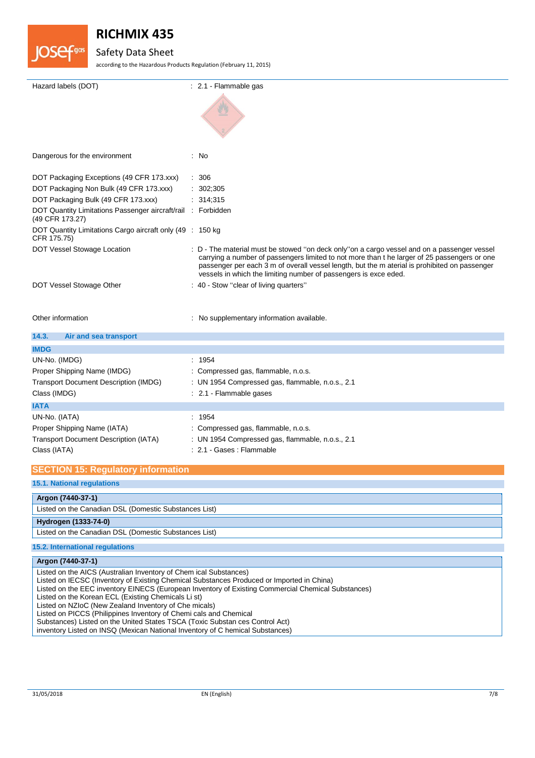

# Safety Data Sheet

according to the Hazardous Products Regulation (February 11, 2015)

| Hazard labels (DOT)                                                             | $: 2.1$ - Flammable gas                                                                                                                                                                     |
|---------------------------------------------------------------------------------|---------------------------------------------------------------------------------------------------------------------------------------------------------------------------------------------|
|                                                                                 |                                                                                                                                                                                             |
| Dangerous for the environment                                                   | : No                                                                                                                                                                                        |
| DOT Packaging Exceptions (49 CFR 173.xxx)                                       | : 306                                                                                                                                                                                       |
| DOT Packaging Non Bulk (49 CFR 173.xxx)                                         | 302;305                                                                                                                                                                                     |
| DOT Packaging Bulk (49 CFR 173.xxx)                                             | 314;315                                                                                                                                                                                     |
| DOT Quantity Limitations Passenger aircraft/rail : Forbidden<br>(49 CFR 173.27) |                                                                                                                                                                                             |
| DOT Quantity Limitations Cargo aircraft only (49 : 150 kg)<br>CFR 175.75)       |                                                                                                                                                                                             |
| DOT Vessel Stowage Location                                                     | : D - The material must be stowed "on deck only"on a cargo vessel and on a passenger vessel<br>carrying a number of passengers limited to not more than t he larger of 25 passengers or one |
|                                                                                 | passenger per each 3 m of overall vessel length, but the m aterial is prohibited on passenger<br>vessels in which the limiting number of passengers is exce eded.                           |
| DOT Vessel Stowage Other                                                        | : 40 - Stow "clear of living quarters"                                                                                                                                                      |
|                                                                                 |                                                                                                                                                                                             |
| Other information                                                               | : No supplementary information available.                                                                                                                                                   |
| 14.3.<br>Air and sea transport                                                  |                                                                                                                                                                                             |
| <b>IMDG</b>                                                                     |                                                                                                                                                                                             |
| UN-No. (IMDG)                                                                   | : 1954                                                                                                                                                                                      |
| Proper Shipping Name (IMDG)                                                     | : Compressed gas, flammable, n.o.s.                                                                                                                                                         |
| <b>Transport Document Description (IMDG)</b>                                    | : UN 1954 Compressed gas, flammable, n.o.s., 2.1                                                                                                                                            |
| Class (IMDG)                                                                    | : 2.1 - Flammable gases                                                                                                                                                                     |
| <b>IATA</b>                                                                     |                                                                                                                                                                                             |
| UN-No. (IATA)                                                                   | : 1954                                                                                                                                                                                      |
| Proper Shipping Name (IATA)                                                     | : Compressed gas, flammable, n.o.s.                                                                                                                                                         |
| <b>Transport Document Description (IATA)</b>                                    | : UN 1954 Compressed gas, flammable, n.o.s., 2.1                                                                                                                                            |
| Class (IATA)                                                                    | : 2.1 - Gases : Flammable                                                                                                                                                                   |
| <b>SECTION 15: Regulatory information</b>                                       |                                                                                                                                                                                             |
| <b>15.1. National regulations</b>                                               |                                                                                                                                                                                             |
| Argon (7440-37-1)                                                               |                                                                                                                                                                                             |

**Hydrogen (1333-74-0)**

Listed on the Canadian DSL (Domestic Substances List)

### **15.2. International regulations**

```
Argon (7440-37-1)
```
Listed on the AICS (Australian Inventory of Chem ical Substances) Listed on IECSC (Inventory of Existing Chemical Substances Produced or Imported in China) Listed on the EEC inventory EINECS (European Inventory of Existing Commercial Chemical Substances) Listed on the Korean ECL (Existing Chemicals Li st) Listed on NZIoC (New Zealand Inventory of Che micals) Listed on PICCS (Philippines Inventory of Chemi cals and Chemical Substances) Listed on the United States TSCA (Toxic Substan ces Control Act) inventory Listed on INSQ (Mexican National Inventory of C hemical Substances)